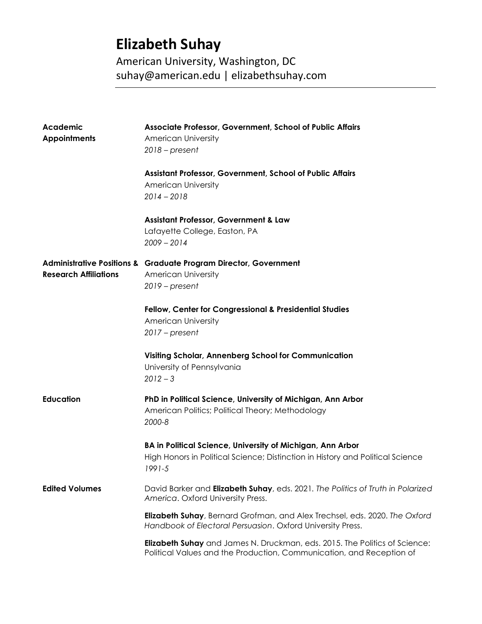# **Elizabeth Suhay**

American University, Washington, DC suhay@american.edu | elizabethsuhay.com

| Academic<br><b>Appointments</b> | Associate Professor, Government, School of Public Affairs<br><b>American University</b><br>$2018$ – present                                               |
|---------------------------------|-----------------------------------------------------------------------------------------------------------------------------------------------------------|
|                                 | Assistant Professor, Government, School of Public Affairs<br><b>American University</b><br>$2014 - 2018$                                                  |
|                                 | <b>Assistant Professor, Government &amp; Law</b><br>Lafayette College, Easton, PA<br>$2009 - 2014$                                                        |
| <b>Research Affiliations</b>    | <b>Administrative Positions &amp; Graduate Program Director, Government</b><br><b>American University</b><br>$2019$ – present                             |
|                                 | Fellow, Center for Congressional & Presidential Studies<br><b>American University</b><br>$2017$ – present                                                 |
|                                 | Visiting Scholar, Annenberg School for Communication<br>University of Pennsylvania<br>$2012 - 3$                                                          |
| <b>Education</b>                | PhD in Political Science, University of Michigan, Ann Arbor<br>American Politics; Political Theory; Methodology<br>2000-8                                 |
|                                 | BA in Political Science, University of Michigan, Ann Arbor<br>High Honors in Political Science; Distinction in History and Political Science<br>1991-5    |
| <b>Edited Volumes</b>           | David Barker and <b>Elizabeth Suhay</b> , eds. 2021. The Politics of Truth in Polarized<br>America. Oxford University Press.                              |
|                                 | <b>Elizabeth Suhay</b> , Bernard Grofman, and Alex Trechsel, eds. 2020. The Oxford<br>Handbook of Electoral Persuasion. Oxford University Press.          |
|                                 | <b>Elizabeth Suhay</b> and James N. Druckman, eds. 2015. The Politics of Science:<br>Political Values and the Production, Communication, and Reception of |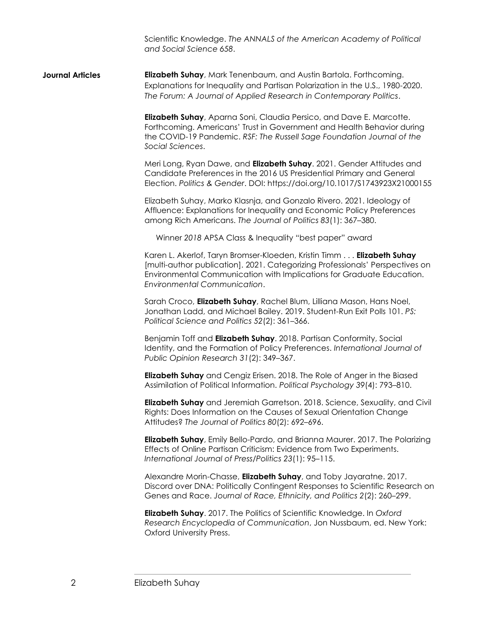Scientific Knowledge. *The ANNALS of the American Academy of Political and Social Science 658*.

**Journal Articles Elizabeth Suhay**, Mark Tenenbaum, and Austin Bartola. Forthcoming. Explanations for Inequality and Partisan Polarization in the U.S., 1980-2020. *The Forum: A Journal of Applied Research in Contemporary Politics*.

> **Elizabeth Suhay**, Aparna Soni, Claudia Persico, and Dave E. Marcotte. Forthcoming. Americans' Trust in Government and Health Behavior during the COVID-19 Pandemic. *RSF: The Russell Sage Foundation Journal of the Social Sciences*.

Meri Long, Ryan Dawe, and **Elizabeth Suhay**. 2021. Gender Attitudes and Candidate Preferences in the 2016 US Presidential Primary and General Election. *Politics & Gender*. DOI: https://doi.org/10.1017/S1743923X21000155

Elizabeth Suhay, Marko Klasnja, and Gonzalo Rivero. 2021. Ideology of Affluence: Explanations for Inequality and Economic Policy Preferences among Rich Americans. *The Journal of Politics 83*(1): 367–380.

Winner *2018* APSA Class & Inequality "best paper" award

Karen L. Akerlof, Taryn Bromser-Kloeden, Kristin Timm . . . **Elizabeth Suhay**  [multi-author publication]. 2021. Categorizing Professionals' Perspectives on Environmental Communication with Implications for Graduate Education. *Environmental Communication*.

Sarah Croco, **Elizabeth Suhay**, Rachel Blum, Lilliana Mason, Hans Noel, Jonathan Ladd, and Michael Bailey. 2019. Student-Run Exit Polls 101. *PS: Political Science and Politics 52*(2): 361–366.

Benjamin Toff and **Elizabeth Suhay**. 2018. Partisan Conformity, Social Identity, and the Formation of Policy Preferences. *International Journal of Public Opinion Research 31*(2): 349–367.

**Elizabeth Suhay** and Cengiz Erisen. 2018. The Role of Anger in the Biased Assimilation of Political Information. *Political Psychology 39*(4): 793–810.

**Elizabeth Suhay** and Jeremiah Garretson. 2018. Science, Sexuality, and Civil Rights: Does Information on the Causes of Sexual Orientation Change Attitudes? *The Journal of Politics 80*(2): 692–696.

**Elizabeth Suhay**, Emily Bello-Pardo, and Brianna Maurer. 2017. The Polarizing Effects of Online Partisan Criticism: Evidence from Two Experiments. *International Journal of Press/Politics 23*(1): 95–115.

Alexandre Morin-Chasse, **Elizabeth Suhay**, and Toby Jayaratne. 2017. Discord over DNA: Politically Contingent Responses to Scientific Research on Genes and Race. *Journal of Race, Ethnicity, and Politics 2*(2): 260–299.

**Elizabeth Suhay**. 2017. The Politics of Scientific Knowledge. In *Oxford Research Encyclopedia of Communication*, Jon Nussbaum, ed. New York: Oxford University Press.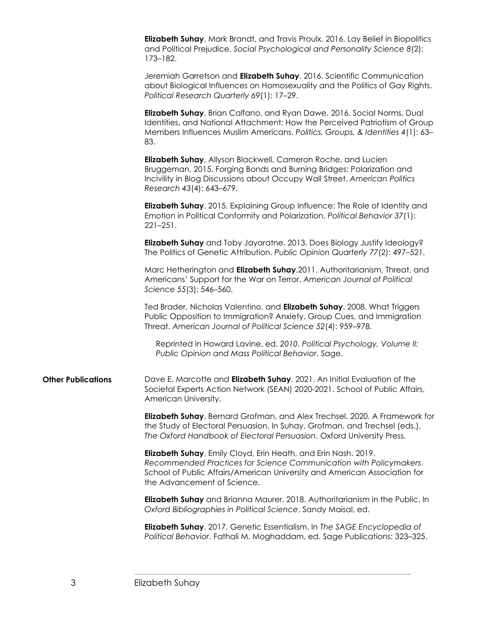**Elizabeth Suhay**, Mark Brandt, and Travis Proulx. 2016. Lay Belief in Biopolitics and Political Prejudice. *Social Psychological and Personality Science 8*(2): 173–182.

Jeremiah Garretson and **Elizabeth Suhay**. 2016. Scientific Communication about Biological Influences on Homosexuality and the Politics of Gay Rights. *Political Research Quarterly 69*(1): 17–29.

**Elizabeth Suhay**, Brian Calfano, and Ryan Dawe. 2016. Social Norms, Dual Identities, and National Attachment: How the Perceived Patriotism of Group Members Influences Muslim Americans. *Politics, Groups, & Identities 4*(1): 63– 83.

**Elizabeth Suhay**, Allyson Blackwell, Cameron Roche, and Lucien Bruggeman. 2015. Forging Bonds and Burning Bridges: Polarization and Incivility in Blog Discussions about Occupy Wall Street. *American Politics Research 43*(4): 643–679.

**Elizabeth Suhay**. 2015. Explaining Group Influence: The Role of Identity and Emotion in Political Conformity and Polarization. *Political Behavior 37*(1): 221–251.

**Elizabeth Suhay** and Toby Jayaratne. 2013. Does Biology Justify Ideology? The Politics of Genetic Attribution. *Public Opinion Quarterly 77*(2): 497–521.

Marc Hetherington and **Elizabeth Suhay**.2011. Authoritarianism, Threat, and Americans' Support for the War on Terror. *American Journal of Political Science 55*(3): 546–560.

Ted Brader, Nicholas Valentino, and **Elizabeth Suhay**. 2008. What Triggers Public Opposition to Immigration? Anxiety, Group Cues, and Immigration Threat. *American Journal of Political Science 52*(4): 959–978.

Reprinted in Howard Lavine, ed. *2010*. *Political Psychology, Volume II: Public Opinion and Mass Political Behavior*. Sage.

**Other Publications** Dave E. Marcotte and **Elizabeth Suhay**. 2021. An Initial Evaluation of the Societal Experts Action Network (SEAN) 2020-2021. School of Public Affairs, American University.

> **Elizabeth Suhay**, Bernard Grofman, and Alex Trechsel. 2020. A Framework for the Study of Electoral Persuasion. In Suhay, Grofman, and Trechsel (eds.), *The Oxford Handbook of Electoral Persuasion*. Oxford University Press.

**Elizabeth Suhay**, Emily Cloyd, Erin Heath, and Erin Nash. 2019. *Recommended Practices for Science Communication with Policymakers*. School of Public Affairs/American University and American Association for the Advancement of Science.

**Elizabeth Suhay** and Brianna Maurer. 2018. Authoritarianism in the Public. In *Oxford Bibliographies in Political Science*, Sandy Maisal, ed.

**Elizabeth Suhay**. 2017. Genetic Essentialism. In *The SAGE Encyclopedia of Political Behavior*. Fathali M. Moghaddam, ed. Sage Publications: 323–325.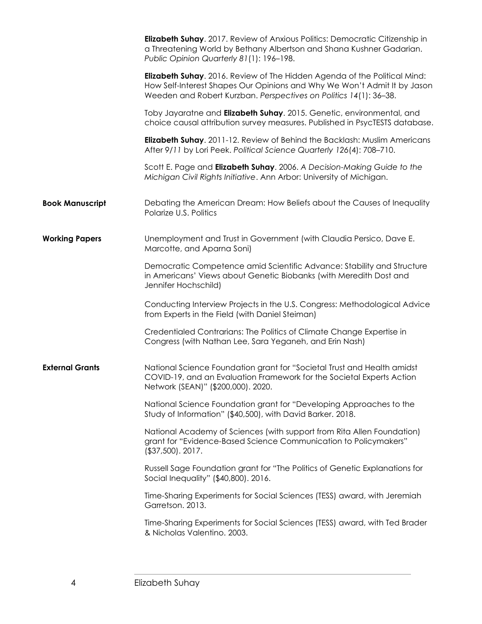|                        | <b>Elizabeth Suhay.</b> 2017. Review of Anxious Politics: Democratic Citizenship in<br>a Threatening World by Bethany Albertson and Shana Kushner Gadarian.<br>Public Opinion Quarterly 81(1): 196-198.                    |
|------------------------|----------------------------------------------------------------------------------------------------------------------------------------------------------------------------------------------------------------------------|
|                        | Elizabeth Suhay. 2016. Review of The Hidden Agenda of the Political Mind:<br>How Self-Interest Shapes Our Opinions and Why We Won't Admit It by Jason<br>Weeden and Robert Kurzban. Perspectives on Politics 14(1): 36-38. |
|                        | Toby Jayaratne and Elizabeth Suhay. 2015. Genetic, environmental, and<br>choice causal attribution survey measures. Published in PsycTESTS database.                                                                       |
|                        | Elizabeth Suhay. 2011-12. Review of Behind the Backlash: Muslim Americans<br>After 9/11 by Lori Peek. Political Science Quarterly 126(4): 708-710.                                                                         |
|                        | Scott E. Page and Elizabeth Suhay. 2006. A Decision-Making Guide to the<br>Michigan Civil Rights Initiative. Ann Arbor: University of Michigan.                                                                            |
| <b>Book Manuscript</b> | Debating the American Dream: How Beliefs about the Causes of Inequality<br>Polarize U.S. Politics                                                                                                                          |
| <b>Working Papers</b>  | Unemployment and Trust in Government (with Claudia Persico, Dave E.<br>Marcotte, and Aparna Soni)                                                                                                                          |
|                        | Democratic Competence amid Scientific Advance: Stability and Structure<br>in Americans' Views about Genetic Biobanks (with Meredith Dost and<br>Jennifer Hochschild)                                                       |
|                        | Conducting Interview Projects in the U.S. Congress: Methodological Advice<br>from Experts in the Field (with Daniel Steiman)                                                                                               |
|                        | Credentialed Contrarians: The Politics of Climate Change Expertise in<br>Congress (with Nathan Lee, Sara Yeganeh, and Erin Nash)                                                                                           |
| <b>External Grants</b> | National Science Foundation grant for "Societal Trust and Health amidst<br>COVID-19, and an Evaluation Framework for the Societal Experts Action<br>Network (SEAN)" (\$200,000). 2020.                                     |
|                        | National Science Foundation grant for "Developing Approaches to the<br>Study of Information" (\$40,500), with David Barker. 2018.                                                                                          |
|                        | National Academy of Sciences (with support from Rita Allen Foundation)<br>grant for "Evidence-Based Science Communication to Policymakers"<br>$($37,500)$ . 2017.                                                          |
|                        | Russell Sage Foundation grant for "The Politics of Genetic Explanations for<br>Social Inequality" (\$40,800). 2016.                                                                                                        |
|                        | Time-Sharing Experiments for Social Sciences (TESS) award, with Jeremiah<br>Garretson. 2013.                                                                                                                               |
|                        | Time-Sharing Experiments for Social Sciences (TESS) award, with Ted Brader<br>& Nicholas Valentino. 2003.                                                                                                                  |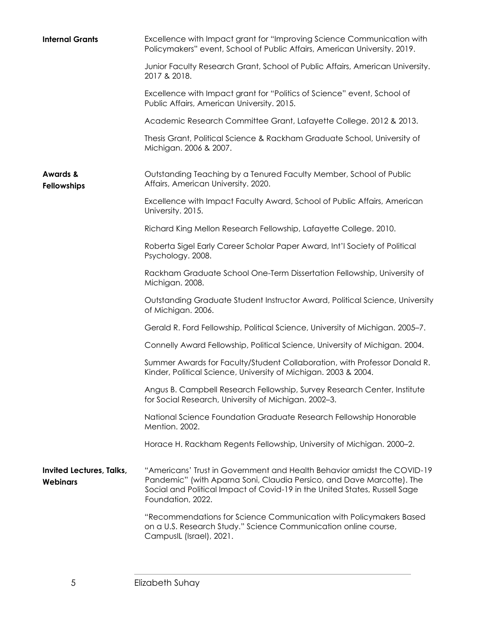| <b>Internal Grants</b>                      | Excellence with Impact grant for "Improving Science Communication with<br>Policymakers" event, School of Public Affairs, American University. 2019.                                                                                                 |
|---------------------------------------------|-----------------------------------------------------------------------------------------------------------------------------------------------------------------------------------------------------------------------------------------------------|
|                                             | Junior Faculty Research Grant, School of Public Affairs, American University.<br>2017 & 2018.                                                                                                                                                       |
|                                             | Excellence with Impact grant for "Politics of Science" event, School of<br>Public Affairs, American University. 2015.                                                                                                                               |
|                                             | Academic Research Committee Grant, Lafayette College. 2012 & 2013.                                                                                                                                                                                  |
|                                             | Thesis Grant, Political Science & Rackham Graduate School, University of<br>Michigan. 2006 & 2007.                                                                                                                                                  |
| <b>Awards &amp;</b><br><b>Fellowships</b>   | Outstanding Teaching by a Tenured Faculty Member, School of Public<br>Affairs, American University. 2020.                                                                                                                                           |
|                                             | Excellence with Impact Faculty Award, School of Public Affairs, American<br>University. 2015.                                                                                                                                                       |
|                                             | Richard King Mellon Research Fellowship, Lafayette College. 2010.                                                                                                                                                                                   |
|                                             | Roberta Sigel Early Career Scholar Paper Award, Int'l Society of Political<br>Psychology. 2008.                                                                                                                                                     |
|                                             | Rackham Graduate School One-Term Dissertation Fellowship, University of<br>Michigan. 2008.                                                                                                                                                          |
|                                             | Outstanding Graduate Student Instructor Award, Political Science, University<br>of Michigan. 2006.                                                                                                                                                  |
|                                             | Gerald R. Ford Fellowship, Political Science, University of Michigan. 2005–7.                                                                                                                                                                       |
|                                             | Connelly Award Fellowship, Political Science, University of Michigan. 2004.                                                                                                                                                                         |
|                                             | Summer Awards for Faculty/Student Collaboration, with Professor Donald R.<br>Kinder, Political Science, University of Michigan. 2003 & 2004.                                                                                                        |
|                                             | Angus B. Campbell Research Fellowship, Survey Research Center, Institute<br>for Social Research, University of Michigan. 2002-3.                                                                                                                    |
|                                             | National Science Foundation Graduate Research Fellowship Honorable<br>Mention, 2002.                                                                                                                                                                |
|                                             | Horace H. Rackham Regents Fellowship, University of Michigan. 2000-2.                                                                                                                                                                               |
| Invited Lectures, Talks,<br><b>Webinars</b> | "Americans' Trust in Government and Health Behavior amidst the COVID-19<br>Pandemic" (with Aparna Soni, Claudia Persico, and Dave Marcotte). The<br>Social and Political Impact of Covid-19 in the United States, Russell Sage<br>Foundation, 2022. |
|                                             | "Recommendations for Science Communication with Policymakers Based<br>on a U.S. Research Study." Science Communication online course,<br>CampusIL (Israel), 2021.                                                                                   |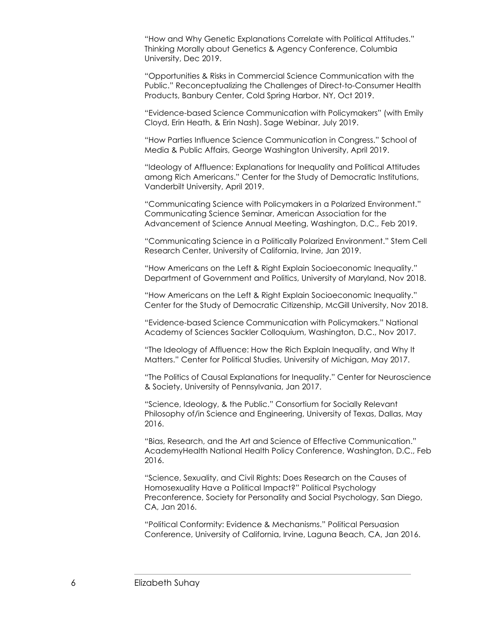"How and Why Genetic Explanations Correlate with Political Attitudes." Thinking Morally about Genetics & Agency Conference, Columbia University, Dec 2019.

"Opportunities & Risks in Commercial Science Communication with the Public." Reconceptualizing the Challenges of Direct-to-Consumer Health Products, Banbury Center, Cold Spring Harbor, NY, Oct 2019.

"Evidence-based Science Communication with Policymakers" (with Emily Cloyd, Erin Heath, & Erin Nash). Sage Webinar, July 2019.

"How Parties Influence Science Communication in Congress." School of Media & Public Affairs, George Washington University, April 2019.

"Ideology of Affluence: Explanations for Inequality and Political Attitudes among Rich Americans." Center for the Study of Democratic Institutions, Vanderbilt University, April 2019.

"Communicating Science with Policymakers in a Polarized Environment." Communicating Science Seminar, American Association for the Advancement of Science Annual Meeting, Washington, D.C., Feb 2019.

"Communicating Science in a Politically Polarized Environment." Stem Cell Research Center, University of California, Irvine, Jan 2019.

"How Americans on the Left & Right Explain Socioeconomic Inequality." Department of Government and Politics, University of Maryland, Nov 2018.

"How Americans on the Left & Right Explain Socioeconomic Inequality." Center for the Study of Democratic Citizenship, McGill University, Nov 2018.

"Evidence-based Science Communication with Policymakers." National Academy of Sciences Sackler Colloquium, Washington, D.C., Nov 2017.

"The Ideology of Affluence: How the Rich Explain Inequality, and Why It Matters." Center for Political Studies, University of Michigan, May 2017.

"The Politics of Causal Explanations for Inequality." Center for Neuroscience & Society, University of Pennsylvania, Jan 2017.

"Science, Ideology, & the Public." Consortium for Socially Relevant Philosophy of/in Science and Engineering, University of Texas, Dallas, May 2016.

"Bias, Research, and the Art and Science of Effective Communication." AcademyHealth National Health Policy Conference, Washington, D.C., Feb 2016.

"Science, Sexuality, and Civil Rights: Does Research on the Causes of Homosexuality Have a Political Impact?" Political Psychology Preconference, Society for Personality and Social Psychology, San Diego, CA, Jan 2016.

"Political Conformity: Evidence & Mechanisms." Political Persuasion Conference, University of California, Irvine, Laguna Beach, CA, Jan 2016.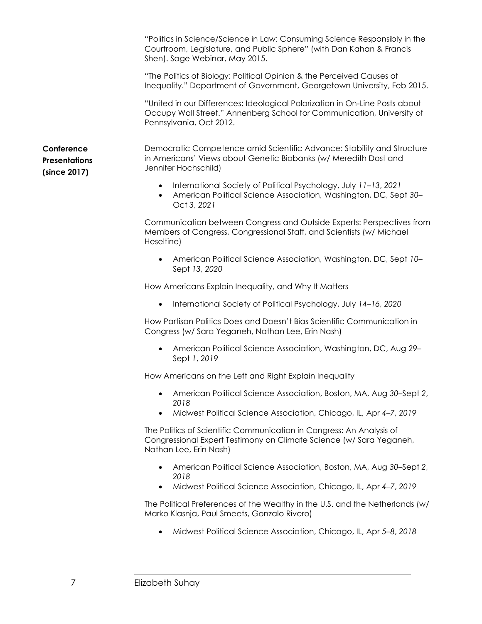"Politics in Science/Science in Law: Consuming Science Responsibly in the Courtroom, Legislature, and Public Sphere" (with Dan Kahan & Francis Shen). Sage Webinar, May 2015.

"The Politics of Biology: Political Opinion & the Perceived Causes of Inequality." Department of Government, Georgetown University, Feb 2015.

"United in our Differences: Ideological Polarization in On-Line Posts about Occupy Wall Street." Annenberg School for Communication, University of Pennsylvania, Oct 2012.

Democratic Competence amid Scientific Advance: Stability and Structure in Americans' Views about Genetic Biobanks (w/ Meredith Dost and Jennifer Hochschild)

- International Society of Political Psychology, July *11*–*13*, *2021*
- American Political Science Association, Washington, DC, Sept *30* Oct *3*, *2021*

Communication between Congress and Outside Experts: Perspectives from Members of Congress, Congressional Staff, and Scientists (w/ Michael Heseltine)

• American Political Science Association, Washington, DC, Sept *10*– Sept *13*, *2020*

How Americans Explain Inequality, and Why It Matters

• International Society of Political Psychology, July *14*–*16*, *2020*

How Partisan Politics Does and Doesn't Bias Scientific Communication in Congress (w/ Sara Yeganeh, Nathan Lee, Erin Nash)

• American Political Science Association, Washington, DC, Aug *29*– Sept *1*, *2019*

How Americans on the Left and Right Explain Inequality

- American Political Science Association, Boston, MA, Aug *30*–Sept *2*, *2018*
- Midwest Political Science Association, Chicago, IL, Apr *4*–*7*, *2019*

The Politics of Scientific Communication in Congress: An Analysis of Congressional Expert Testimony on Climate Science (w/ Sara Yeganeh, Nathan Lee, Erin Nash)

- American Political Science Association, Boston, MA, Aug *30*–Sept *2*, *2018*
- Midwest Political Science Association, Chicago, IL, Apr *4*–*7*, *2019*

The Political Preferences of the Wealthy in the U.S. and the Netherlands (w/ Marko Klasnja, Paul Smeets, Gonzalo Rivero)

• Midwest Political Science Association, Chicago, IL, Apr *5*–*8*, *2018*

**Conference Presentations (since 2017)**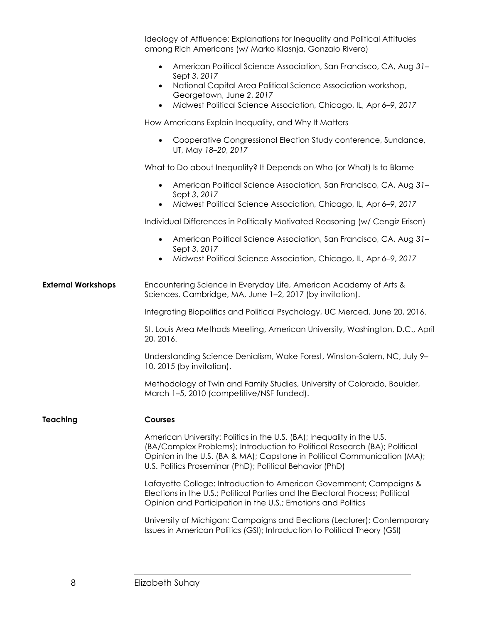|                           | Ideology of Affluence: Explanations for Inequality and Political Attitudes<br>among Rich Americans (w/ Marko Klasnja, Gonzalo Rivero)                                                                                                                                                       |
|---------------------------|---------------------------------------------------------------------------------------------------------------------------------------------------------------------------------------------------------------------------------------------------------------------------------------------|
|                           | American Political Science Association, San Francisco, CA, Aug 31-<br>$\bullet$<br>Sept 3, 2017<br>National Capital Area Political Science Association workshop,<br>$\bullet$<br>Georgetown, June 2, 2017<br>Midwest Political Science Association, Chicago, IL, Apr 6-9, 2017<br>$\bullet$ |
|                           | How Americans Explain Inequality, and Why It Matters                                                                                                                                                                                                                                        |
|                           | Cooperative Congressional Election Study conference, Sundance,<br>$\bullet$<br>UT, May 18-20, 2017                                                                                                                                                                                          |
|                           | What to Do about Inequality? It Depends on Who (or What) Is to Blame                                                                                                                                                                                                                        |
|                           | American Political Science Association, San Francisco, CA, Aug 31-<br>$\bullet$<br>Sept 3, 2017                                                                                                                                                                                             |
|                           | Midwest Political Science Association, Chicago, IL, Apr 6-9, 2017<br>$\bullet$                                                                                                                                                                                                              |
|                           | Individual Differences in Politically Motivated Reasoning (w/ Cengiz Erisen)                                                                                                                                                                                                                |
|                           | American Political Science Association, San Francisco, CA, Aug 31-<br>$\bullet$<br>Sept 3, 2017                                                                                                                                                                                             |
|                           | Midwest Political Science Association, Chicago, IL, Apr 6-9, 2017                                                                                                                                                                                                                           |
| <b>External Workshops</b> | Encountering Science in Everyday Life, American Academy of Arts &<br>Sciences, Cambridge, MA, June 1-2, 2017 (by invitation).                                                                                                                                                               |
|                           | Integrating Biopolitics and Political Psychology, UC Merced, June 20, 2016.                                                                                                                                                                                                                 |
|                           |                                                                                                                                                                                                                                                                                             |
|                           | St. Louis Area Methods Meeting, American University, Washington, D.C., April<br>20, 2016.                                                                                                                                                                                                   |
|                           | Understanding Science Denialism, Wake Forest, Winston-Salem, NC, July 9-<br>10, 2015 (by invitation).                                                                                                                                                                                       |
|                           | Methodology of Twin and Family Studies, University of Colorado, Boulder,<br>March 1-5, 2010 (competitive/NSF funded).                                                                                                                                                                       |
| <b>Teaching</b>           | <b>Courses</b>                                                                                                                                                                                                                                                                              |
|                           | American University: Politics in the U.S. (BA); Inequality in the U.S.<br>(BA/Complex Problems); Introduction to Political Research (BA); Political<br>Opinion in the U.S. (BA & MA); Capstone in Political Communication (MA);<br>U.S. Politics Proseminar (PhD); Political Behavior (PhD) |
|                           | Lafayette College: Introduction to American Government; Campaigns &<br>Elections in the U.S.; Political Parties and the Electoral Process; Political<br>Opinion and Participation in the U.S.; Emotions and Politics                                                                        |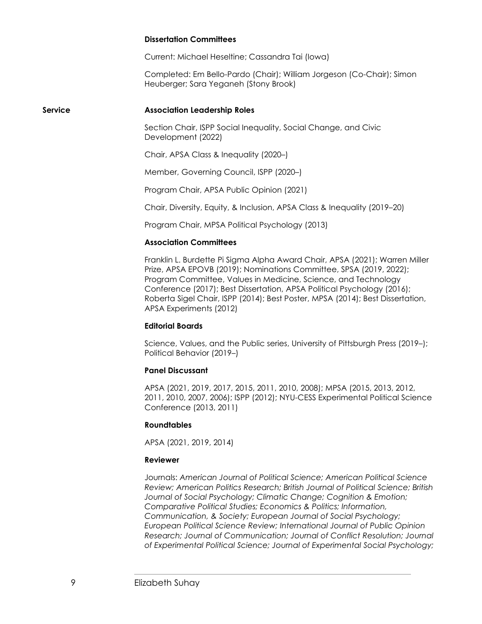### **Dissertation Committees**

Current: Michael Heseltine; Cassandra Tai (Iowa)

Completed: Em Bello-Pardo (Chair); William Jorgeson (Co-Chair); Simon Heuberger; Sara Yeganeh (Stony Brook)

### **Service Association Leadership Roles**

Section Chair, ISPP Social Inequality, Social Change, and Civic Development (2022)

Chair, APSA Class & Inequality (2020–)

Member, Governing Council, ISPP (2020–)

Program Chair, APSA Public Opinion (2021)

Chair, Diversity, Equity, & Inclusion, APSA Class & Inequality (2019–20)

Program Chair, MPSA Political Psychology (2013)

### **Association Committees**

Franklin L. Burdette Pi Sigma Alpha Award Chair, APSA (2021); Warren Miller Prize, APSA EPOVB (2019); Nominations Committee, SPSA (2019, 2022); Program Committee, Values in Medicine, Science, and Technology Conference (2017); Best Dissertation, APSA Political Psychology (2016); Roberta Sigel Chair, ISPP (2014); Best Poster, MPSA (2014); Best Dissertation, APSA Experiments (2012)

#### **Editorial Boards**

Science, Values, and the Public series, University of Pittsburgh Press (2019–); Political Behavior (2019–)

### **Panel Discussant**

APSA (2021, 2019, 2017, 2015, 2011, 2010, 2008); MPSA (2015, 2013, 2012, 2011, 2010, 2007, 2006); ISPP (2012); NYU-CESS Experimental Political Science Conference (2013, 2011)

### **Roundtables**

APSA (2021, 2019, 2014)

#### **Reviewer**

Journals: *American Journal of Political Science; American Political Science Review; American Politics Research; British Journal of Political Science; British Journal of Social Psychology; Climatic Change; Cognition & Emotion; Comparative Political Studies; Economics & Politics; Information, Communication, & Society; European Journal of Social Psychology; European Political Science Review; International Journal of Public Opinion Research; Journal of Communication; Journal of Conflict Resolution; Journal of Experimental Political Science; Journal of Experimental Social Psychology;*